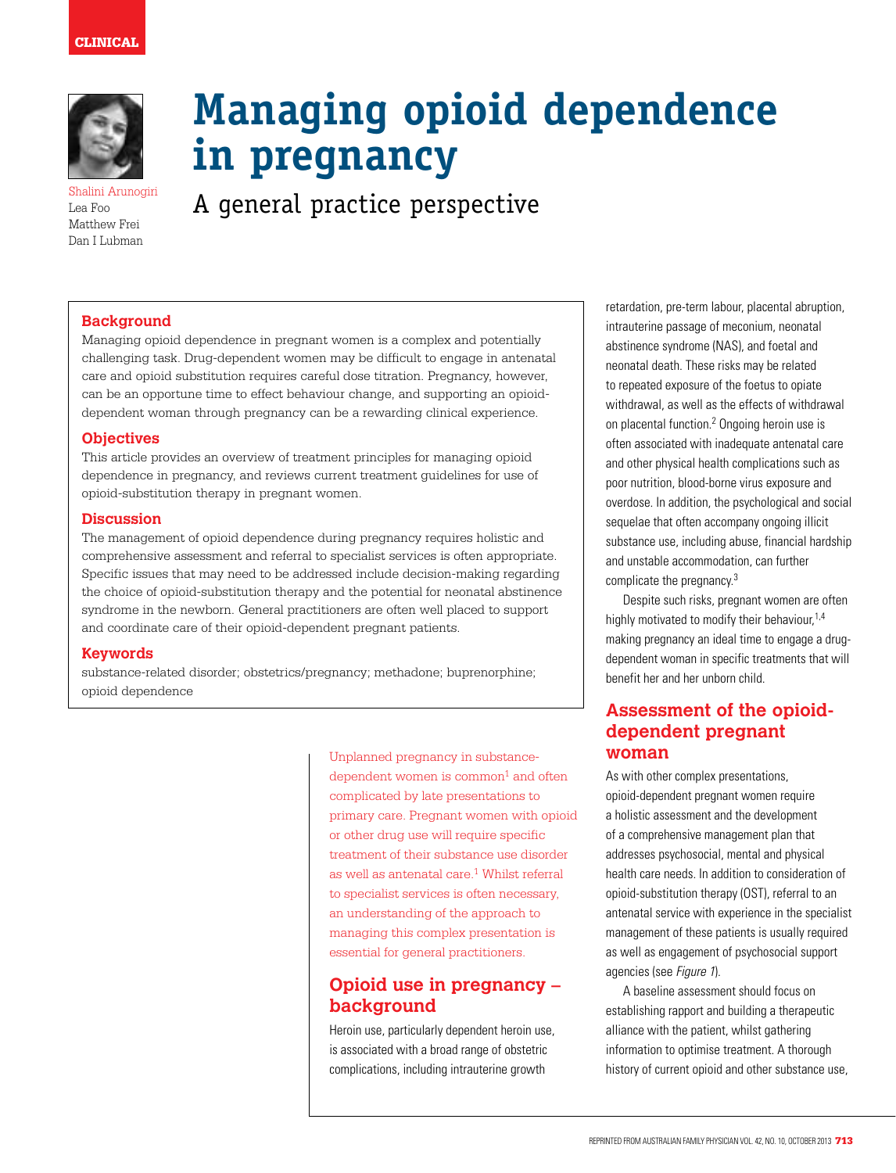# CLINICAL



Lea Foo Matthew Frei Dan I Lubman

# **Managing opioid dependence in pregnancy**

 $E_{\text{A}}$   $E_{\text{A}}$  Foo  $E_{\text{A}}$  arunogiri **A** qeneral practice perspective

## **Background**

Managing opioid dependence in pregnant women is a complex and potentially challenging task. Drug-dependent women may be difficult to engage in antenatal care and opioid substitution requires careful dose titration. Pregnancy, however, can be an opportune time to effect behaviour change, and supporting an opioiddependent woman through pregnancy can be a rewarding clinical experience.

#### **Objectives**

This article provides an overview of treatment principles for managing opioid dependence in pregnancy, and reviews current treatment guidelines for use of opioid-substitution therapy in pregnant women.

#### **Discussion**

The management of opioid dependence during pregnancy requires holistic and comprehensive assessment and referral to specialist services is often appropriate. Specific issues that may need to be addressed include decision-making regarding the choice of opioid-substitution therapy and the potential for neonatal abstinence syndrome in the newborn. General practitioners are often well placed to support and coordinate care of their opioid-dependent pregnant patients.

#### **Keywords**

substance-related disorder; obstetrics/pregnancy; methadone; buprenorphine; opioid dependence

> Unplanned pregnancy in substance $dependent$  women is  $common<sup>1</sup>$  and often complicated by late presentations to primary care. Pregnant women with opioid or other drug use will require specific treatment of their substance use disorder as well as antenatal care. $1$  Whilst referral to specialist services is often necessary, an understanding of the approach to managing this complex presentation is essential for general practitioners.

# **Opioid use in pregnancy – background**

Heroin use, particularly dependent heroin use, is associated with a broad range of obstetric complications, including intrauterine growth

retardation, pre-term labour, placental abruption, intrauterine passage of meconium, neonatal abstinence syndrome (NAS), and foetal and neonatal death. These risks may be related to repeated exposure of the foetus to opiate withdrawal, as well as the effects of withdrawal on placental function.2 Ongoing heroin use is often associated with inadequate antenatal care and other physical health complications such as poor nutrition, blood-borne virus exposure and overdose. In addition, the psychological and social sequelae that often accompany ongoing illicit substance use, including abuse, financial hardship and unstable accommodation, can further complicate the pregnancy.3

Despite such risks, pregnant women are often highly motivated to modify their behaviour,<sup>1,4</sup> making pregnancy an ideal time to engage a drugdependent woman in specific treatments that will benefit her and her unborn child.

# **Assessment of the opioiddependent pregnant woman**

As with other complex presentations, opioid-dependent pregnant women require a holistic assessment and the development of a comprehensive management plan that addresses psychosocial, mental and physical health care needs. In addition to consideration of opioid-substitution therapy (OST), referral to an antenatal service with experience in the specialist management of these patients is usually required as well as engagement of psychosocial support agencies (see Figure 1).

A baseline assessment should focus on establishing rapport and building a therapeutic alliance with the patient, whilst gathering information to optimise treatment. A thorough history of current opioid and other substance use,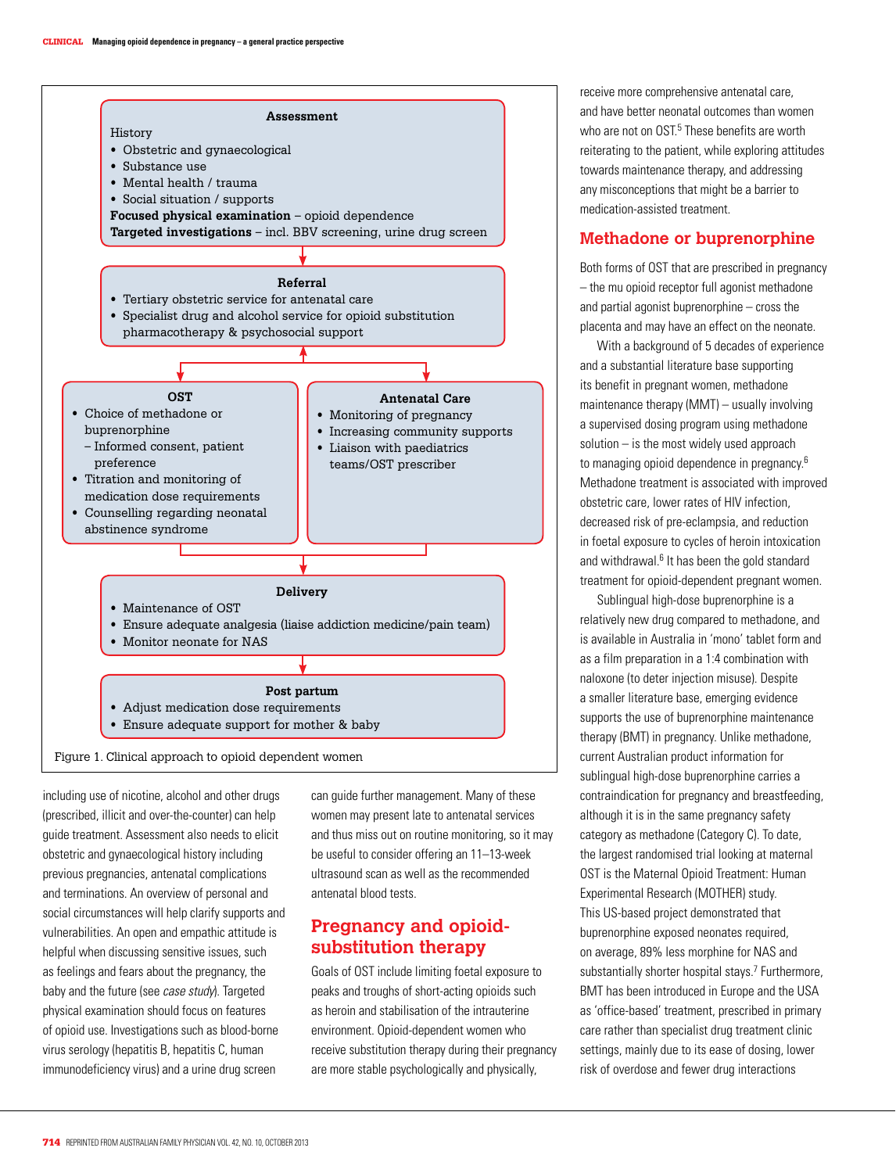

including use of nicotine, alcohol and other drugs (prescribed, illicit and over-the-counter) can help guide treatment. Assessment also needs to elicit obstetric and gynaecological history including previous pregnancies, antenatal complications and terminations. An overview of personal and social circumstances will help clarify supports and vulnerabilities. An open and empathic attitude is helpful when discussing sensitive issues, such as feelings and fears about the pregnancy, the baby and the future (see case study). Targeted physical examination should focus on features of opioid use. Investigations such as blood-borne virus serology (hepatitis B, hepatitis C, human immunodeficiency virus) and a urine drug screen

can guide further management. Many of these women may present late to antenatal services and thus miss out on routine monitoring, so it may be useful to consider offering an 11–13-week ultrasound scan as well as the recommended antenatal blood tests.

# **Pregnancy and opioidsubstitution therapy**

Goals of OST include limiting foetal exposure to peaks and troughs of short-acting opioids such as heroin and stabilisation of the intrauterine environment. Opioid-dependent women who receive substitution therapy during their pregnancy are more stable psychologically and physically,

receive more comprehensive antenatal care, and have better neonatal outcomes than women who are not on OST.<sup>5</sup> These benefits are worth reiterating to the patient, while exploring attitudes towards maintenance therapy, and addressing any misconceptions that might be a barrier to medication-assisted treatment.

## **Methadone or buprenorphine**

Both forms of OST that are prescribed in pregnancy – the mu opioid receptor full agonist methadone and partial agonist buprenorphine – cross the placenta and may have an effect on the neonate.

With a background of 5 decades of experience and a substantial literature base supporting its benefit in pregnant women, methadone maintenance therapy (MMT) – usually involving a supervised dosing program using methadone solution – is the most widely used approach to managing opioid dependence in pregnancy.6 Methadone treatment is associated with improved obstetric care, lower rates of HIV infection, decreased risk of pre-eclampsia, and reduction in foetal exposure to cycles of heroin intoxication and withdrawal.<sup>6</sup> It has been the gold standard treatment for opioid-dependent pregnant women.

Sublingual high-dose buprenorphine is a relatively new drug compared to methadone, and is available in Australia in 'mono' tablet form and as a film preparation in a 1:4 combination with naloxone (to deter injection misuse). Despite a smaller literature base, emerging evidence supports the use of buprenorphine maintenance therapy (BMT) in pregnancy. Unlike methadone, current Australian product information for sublingual high-dose buprenorphine carries a contraindication for pregnancy and breastfeeding, although it is in the same pregnancy safety category as methadone (Category C). To date, the largest randomised trial looking at maternal OST is the Maternal Opioid Treatment: Human Experimental Research (MOTHER) study. This US-based project demonstrated that buprenorphine exposed neonates required, on average, 89% less morphine for NAS and substantially shorter hospital stays.<sup>7</sup> Furthermore, BMT has been introduced in Europe and the USA as 'office-based' treatment, prescribed in primary care rather than specialist drug treatment clinic settings, mainly due to its ease of dosing, lower risk of overdose and fewer drug interactions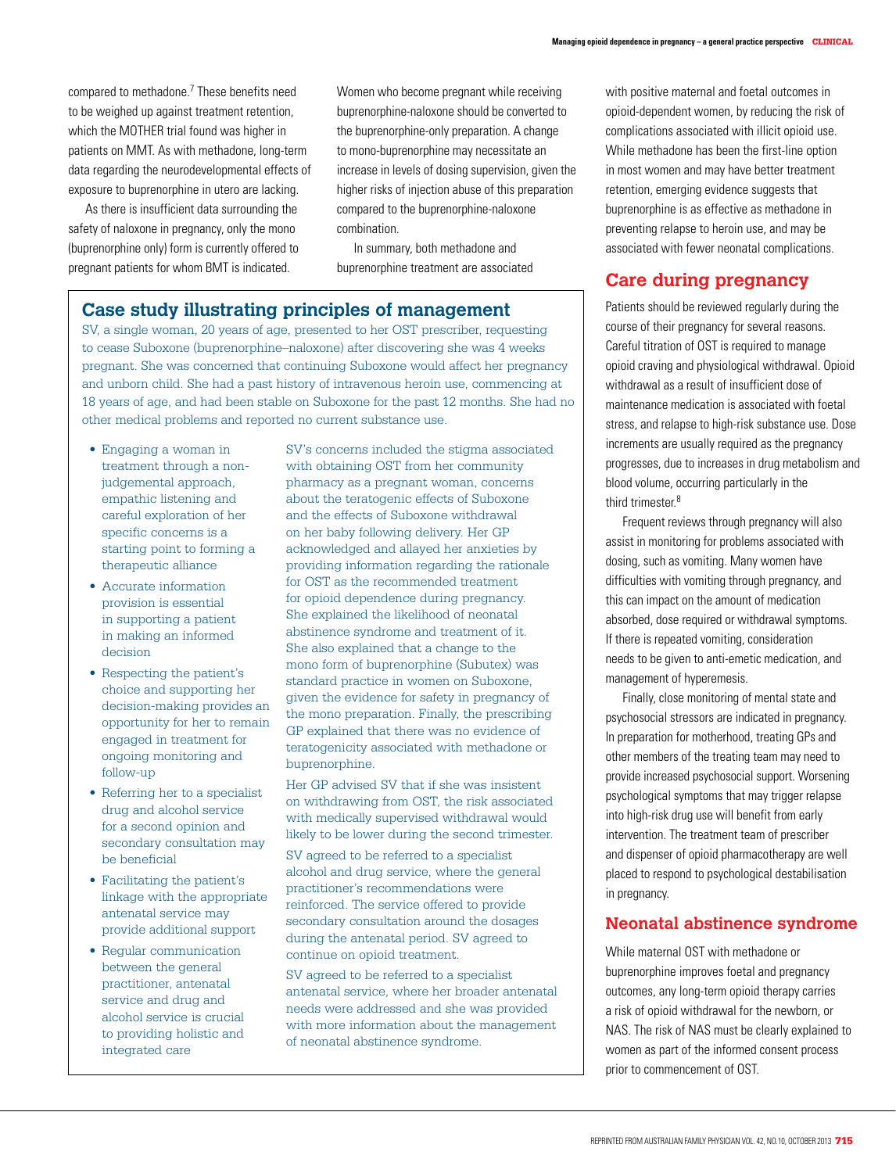compared to methadone.<sup>7</sup> These benefits need to be weighed up against treatment retention, which the MOTHER trial found was higher in patients on MMT. As with methadone, long-term data regarding the neurodevelopmental effects of exposure to buprenorphine in utero are lacking.

As there is insufficient data surrounding the safety of naloxone in pregnancy, only the mono (buprenorphine only) form is currently offered to pregnant patients for whom BMT is indicated.

Women who become pregnant while receiving buprenorphine-naloxone should be converted to the buprenorphine-only preparation. A change to mono-buprenorphine may necessitate an increase in levels of dosing supervision, given the higher risks of injection abuse of this preparation compared to the buprenorphine-naloxone combination.

In summary, both methadone and buprenorphine treatment are associated

# **Case study illustrating principles of management**

SV, a single woman, 20 years of age, presented to her OST prescriber, requesting to cease Suboxone (buprenorphine–naloxone) after discovering she was 4 weeks pregnant. She was concerned that continuing Suboxone would affect her pregnancy and unborn child. She had a past history of intravenous heroin use, commencing at 18 years of age, and had been stable on Suboxone for the past 12 months. She had no other medical problems and reported no current substance use.

- Engaging a woman in treatment through a nonjudgemental approach, empathic listening and careful exploration of her specific concerns is a starting point to forming a therapeutic alliance
- Accurate information provision is essential in supporting a patient in making an informed decision
- Respecting the patient's choice and supporting her decision-making provides an opportunity for her to remain engaged in treatment for ongoing monitoring and follow-up
- Referring her to a specialist drug and alcohol service for a second opinion and secondary consultation may be beneficial
- Facilitating the patient's linkage with the appropriate antenatal service may provide additional support
- Regular communication between the general practitioner, antenatal service and drug and alcohol service is crucial to providing holistic and integrated care

SV's concerns included the stigma associated with obtaining OST from her community pharmacy as a pregnant woman, concerns about the teratogenic effects of Suboxone and the effects of Suboxone withdrawal on her baby following delivery. Her GP acknowledged and allayed her anxieties by providing information regarding the rationale for OST as the recommended treatment for opioid dependence during pregnancy. She explained the likelihood of neonatal abstinence syndrome and treatment of it. She also explained that a change to the mono form of buprenorphine (Subutex) was standard practice in women on Suboxone, given the evidence for safety in pregnancy of the mono preparation. Finally, the prescribing GP explained that there was no evidence of teratogenicity associated with methadone or buprenorphine.

Her GP advised SV that if she was insistent on withdrawing from OST, the risk associated with medically supervised withdrawal would likely to be lower during the second trimester.

SV agreed to be referred to a specialist alcohol and drug service, where the general practitioner's recommendations were reinforced. The service offered to provide secondary consultation around the dosages during the antenatal period. SV agreed to continue on opioid treatment.

SV agreed to be referred to a specialist antenatal service, where her broader antenatal needs were addressed and she was provided with more information about the management of neonatal abstinence syndrome.

with positive maternal and foetal outcomes in opioid-dependent women, by reducing the risk of complications associated with illicit opioid use. While methadone has been the first-line option in most women and may have better treatment retention, emerging evidence suggests that buprenorphine is as effective as methadone in preventing relapse to heroin use, and may be associated with fewer neonatal complications.

# **Care during pregnancy**

Patients should be reviewed regularly during the course of their pregnancy for several reasons. Careful titration of OST is required to manage opioid craving and physiological withdrawal. Opioid withdrawal as a result of insufficient dose of maintenance medication is associated with foetal stress, and relapse to high-risk substance use. Dose increments are usually required as the pregnancy progresses, due to increases in drug metabolism and blood volume, occurring particularly in the third trimester.<sup>8</sup>

Frequent reviews through pregnancy will also assist in monitoring for problems associated with dosing, such as vomiting. Many women have difficulties with vomiting through pregnancy, and this can impact on the amount of medication absorbed, dose required or withdrawal symptoms. If there is repeated vomiting, consideration needs to be given to anti-emetic medication, and management of hyperemesis.

Finally, close monitoring of mental state and psychosocial stressors are indicated in pregnancy. In preparation for motherhood, treating GPs and other members of the treating team may need to provide increased psychosocial support. Worsening psychological symptoms that may trigger relapse into high-risk drug use will benefit from early intervention. The treatment team of prescriber and dispenser of opioid pharmacotherapy are well placed to respond to psychological destabilisation in pregnancy.

## **Neonatal abstinence syndrome**

While maternal OST with methadone or buprenorphine improves foetal and pregnancy outcomes, any long-term opioid therapy carries a risk of opioid withdrawal for the newborn, or NAS. The risk of NAS must be clearly explained to women as part of the informed consent process prior to commencement of OST.